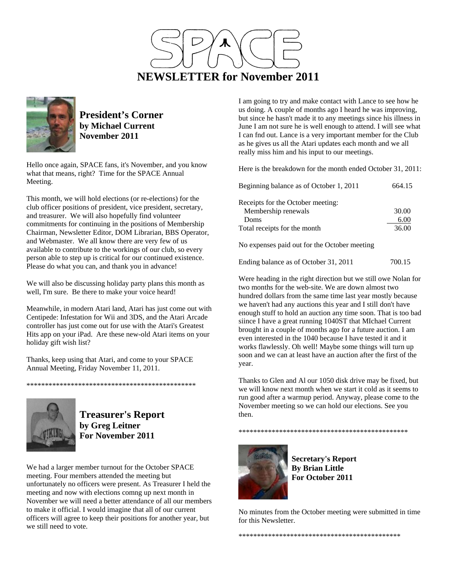



**President's Corner by Michael Current November 2011**

Hello once again, SPACE fans, it's November, and you know what that means, right? Time for the SPACE Annual Meeting.

This month, we will hold elections (or re-elections) for the club officer positions of president, vice president, secretary, and treasurer. We will also hopefully find volunteer commitments for continuing in the positions of Membership Chairman, Newsletter Editor, DOM Librarian, BBS Operator, and Webmaster. We all know there are very few of us available to contribute to the workings of our club, so every person able to step up is critical for our continued existence. Please do what you can, and thank you in advance!

We will also be discussing holiday party plans this month as well, I'm sure. Be there to make your voice heard!

Meanwhile, in modern Atari land, Atari has just come out with Centipede: Infestation for Wii and 3DS, and the Atari Arcade controller has just come out for use with the Atari's Greatest Hits app on your iPad. Are these new-old Atari items on your holiday gift wish list?

Thanks, keep using that Atari, and come to your SPACE Annual Meeting, Friday November 11, 2011.

\*\*\*\*\*\*\*\*\*\*\*\*\*\*\*\*\*\*\*\*\*\*\*\*\*\*\*\*\*\*\*\*\*\*\*\*\*\*\*\*\*\*\*\*\*\*



**Treasurer's Report by Greg Leitner For November 2011** 

We had a larger member turnout for the October SPACE meeting. Four members attended the meeting but unfortunately no officers were present. As Treasurer I held the meeting and now with elections comng up next month in November we will need a better attendance of all our members to make it official. I would imagine that all of our current officers will agree to keep their positions for another year, but we still need to vote.

I am going to try and make contact with Lance to see how he us doing. A couple of months ago I heard he was improving, but since he hasn't made it to any meetings since his illness in June I am not sure he is well enough to attend. I will see what I can fnd out. Lance is a very important member for the Club as he gives us all the Atari updates each month and we all really miss him and his input to our meetings.

Here is the breakdown for the month ended October 31, 2011:

| Beginning balance as of October 1, 2011 | 664.15 |
|-----------------------------------------|--------|
| Receipts for the October meeting:       |        |
| Membership renewals                     | 30.00  |
| Doms                                    | 6.00   |
| Total receipts for the month            | 36.00  |
|                                         |        |

No expenses paid out for the October meeting

Were heading in the right direction but we still owe Nolan for two months for the web-site. We are down almost two hundred dollars from the same time last year mostly because we haven't had any auctions this year and I still don't have enough stuff to hold an auction any time soon. That is too bad siince I have a great running 1040ST that MIchael Current brought in a couple of months ago for a future auction. I am even interested in the 1040 because I have tested it and it works flawlessly. Oh well! Maybe some things will turn up soon and we can at least have an auction after the first of the year.

Thanks to Glen and Al our 1050 disk drive may be fixed, but we will know next month when we start it cold as it seems to run good after a warmup period. Anyway, please come to the November meeting so we can hold our elections. See you then.



**Secretary's Report By Brian Little For October 2011** 

\*\*\*\*\*\*\*\*\*\*\*\*\*\*\*\*\*\*\*\*\*\*\*\*\*\*\*\*\*\*\*\*\*\*\*\*\*\*\*\*\*\*\*\*\*\*

No minutes from the October meeting were submitted in time for this Newsletter.

\*\*\*\*\*\*\*\*\*\*\*\*\*\*\*\*\*\*\*\*\*\*\*\*\*\*\*\*\*\*\*\*\*\*\*\*\*\*\*\*\*\*\*\*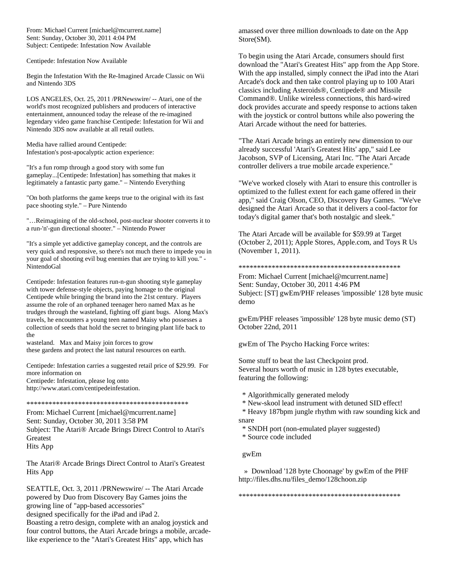From: Michael Current [michael@mcurrent.name] Sent: Sunday, October 30, 2011 4:04 PM Subject: Centipede: Infestation Now Available

Centipede: Infestation Now Available

Begin the Infestation With the Re-Imagined Arcade Classic on Wii and Nintendo 3DS

LOS ANGELES, Oct. 25, 2011 /PRNewswire/ -- Atari, one of the world's most recognized publishers and producers of interactive entertainment, announced today the release of the re-imagined legendary video game franchise Centipede: Infestation for Wii and Nintendo 3DS now available at all retail outlets.

Media have rallied around Centipede: Infestation's post-apocalyptic action experience:

"It's a fun romp through a good story with some fun gameplay...[Centipede: Infestation] has something that makes it legitimately a fantastic party game." – Nintendo Everything

"On both platforms the game keeps true to the original with its fast pace shooting style." – Pure Nintendo

"…Reimagining of the old-school, post-nuclear shooter converts it to a run-'n'-gun directional shooter." – Nintendo Power

"It's a simple yet addictive gameplay concept, and the controls are very quick and responsive, so there's not much there to impede you in your goal of shooting evil bug enemies that are trying to kill you." - NintendoGal

Centipede: Infestation features run-n-gun shooting style gameplay with tower defense-style objects, paying homage to the original Centipede while bringing the brand into the 21st century. Players assume the role of an orphaned teenager hero named Max as he trudges through the wasteland, fighting off giant bugs. Along Max's travels, he encounters a young teen named Maisy who possesses a collection of seeds that hold the secret to bringing plant life back to the

wasteland. Max and Maisy join forces to grow these gardens and protect the last natural resources on earth.

Centipede: Infestation carries a suggested retail price of \$29.99. For more information on Centipede: Infestation, please log onto

http://www.atari.com/centipedeinfestation.

\*\*\*\*\*\*\*\*\*\*\*\*\*\*\*\*\*\*\*\*\*\*\*\*\*\*\*\*\*\*\*\*\*\*\*\*\*\*\*\*\*\*\*\*

From: Michael Current [michael@mcurrent.name] Sent: Sunday, October 30, 2011 3:58 PM Subject: The Atari® Arcade Brings Direct Control to Atari's Greatest Hits App

The Atari® Arcade Brings Direct Control to Atari's Greatest Hits App

SEATTLE, Oct. 3, 2011 /PRNewswire/ -- The Atari Arcade powered by Duo from Discovery Bay Games joins the growing line of "app-based accessories"

designed specifically for the iPad and iPad 2.

Boasting a retro design, complete with an analog joystick and four control buttons, the Atari Arcade brings a mobile, arcadelike experience to the "Atari's Greatest Hits" app, which has

amassed over three million downloads to date on the App Store(SM).

To begin using the Atari Arcade, consumers should first download the "Atari's Greatest Hits" app from the App Store. With the app installed, simply connect the iPad into the Atari Arcade's dock and then take control playing up to 100 Atari classics including Asteroids®, Centipede® and Missile Command®. Unlike wireless connections, this hard-wired dock provides accurate and speedy response to actions taken with the joystick or control buttons while also powering the Atari Arcade without the need for batteries.

"The Atari Arcade brings an entirely new dimension to our already successful 'Atari's Greatest Hits' app," said Lee Jacobson, SVP of Licensing, Atari Inc. "The Atari Arcade controller delivers a true mobile arcade experience."

"We've worked closely with Atari to ensure this controller is optimized to the fullest extent for each game offered in their app," said Craig Olson, CEO, Discovery Bay Games. "We've designed the Atari Arcade so that it delivers a cool-factor for today's digital gamer that's both nostalgic and sleek."

The Atari Arcade will be available for \$59.99 at Target (October 2, 2011); Apple Stores, Apple.com, and Toys R Us (November 1, 2011).

#### \*\*\*\*\*\*\*\*\*\*\*\*\*\*\*\*\*\*\*\*\*\*\*\*\*\*\*\*\*\*\*\*\*\*\*\*\*\*\*\*\*\*\*\*

From: Michael Current [michael@mcurrent.name] Sent: Sunday, October 30, 2011 4:46 PM Subject: [ST] gwEm/PHF releases 'impossible' 128 byte music demo

gwEm/PHF releases 'impossible' 128 byte music demo (ST) October 22nd, 2011

gwEm of The Psycho Hacking Force writes:

Some stuff to beat the last Checkpoint prod. Several hours worth of music in 128 bytes executable, featuring the following:

- \* Algorithmically generated melody
- \* New-skool lead instrument with detuned SID effect!

 \* Heavy 187bpm jungle rhythm with raw sounding kick and snare

- \* SNDH port (non-emulated player suggested)
- \* Source code included

gwEm

 » Download '128 byte Choonage' by gwEm of the PHF http://files.dhs.nu/files\_demo/128choon.zip

\*\*\*\*\*\*\*\*\*\*\*\*\*\*\*\*\*\*\*\*\*\*\*\*\*\*\*\*\*\*\*\*\*\*\*\*\*\*\*\*\*\*\*\*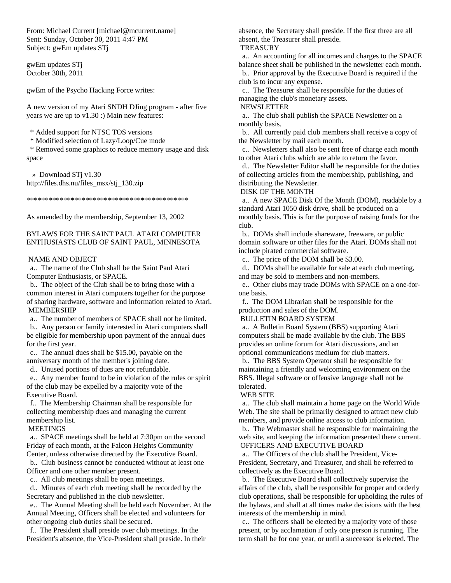From: Michael Current [michael@mcurrent.name] Sent: Sunday, October 30, 2011 4:47 PM Subject: gwEm updates STj

gwEm updates STj October 30th, 2011

gwEm of the Psycho Hacking Force writes:

A new version of my Atari SNDH DJing program - after five years we are up to v1.30 :) Main new features:

\* Added support for NTSC TOS versions

\* Modified selection of Lazy/Loop/Cue mode

 \* Removed some graphics to reduce memory usage and disk space

 » Download STj v1.30 http://files.dhs.nu/files\_msx/stj\_130.zip

\*\*\*\*\*\*\*\*\*\*\*\*\*\*\*\*\*\*\*\*\*\*\*\*\*\*\*\*\*\*\*\*\*\*\*\*\*\*\*\*\*\*\*\*

As amended by the membership, September 13, 2002

### BYLAWS FOR THE SAINT PAUL ATARI COMPUTER ENTHUSIASTS CLUB OF SAINT PAUL, MINNESOTA

#### NAME AND OBJECT

 a.. The name of the Club shall be the Saint Paul Atari Computer Enthusiasts, or SPACE.

 b.. The object of the Club shall be to bring those with a common interest in Atari computers together for the purpose of sharing hardware, software and information related to Atari. MEMBERSHIP

a.. The number of members of SPACE shall not be limited.

 b.. Any person or family interested in Atari computers shall be eligible for membership upon payment of the annual dues for the first year.

 c.. The annual dues shall be \$15.00, payable on the anniversary month of the member's joining date.

d.. Unused portions of dues are not refundable.

 e.. Any member found to be in violation of the rules or spirit of the club may be expelled by a majority vote of the Executive Board.

 f.. The Membership Chairman shall be responsible for collecting membership dues and managing the current membership list.

MEETINGS

 a.. SPACE meetings shall be held at 7:30pm on the second Friday of each month, at the Falcon Heights Community Center, unless otherwise directed by the Executive Board.

 b.. Club business cannot be conducted without at least one Officer and one other member present.

c.. All club meetings shall be open meetings.

 d.. Minutes of each club meeting shall be recorded by the Secretary and published in the club newsletter.

 e.. The Annual Meeting shall be held each November. At the Annual Meeting, Officers shall be elected and volunteers for other ongoing club duties shall be secured.

 f.. The President shall preside over club meetings. In the President's absence, the Vice-President shall preside. In their absence, the Secretary shall preside. If the first three are all absent, the Treasurer shall preside.

**TREASURY** 

 a.. An accounting for all incomes and charges to the SPACE balance sheet shall be published in the newsletter each month.

 b.. Prior approval by the Executive Board is required if the club is to incur any expense.

 c.. The Treasurer shall be responsible for the duties of managing the club's monetary assets.

NEWSLETTER

 a.. The club shall publish the SPACE Newsletter on a monthly basis.

 b.. All currently paid club members shall receive a copy of the Newsletter by mail each month.

 c.. Newsletters shall also be sent free of charge each month to other Atari clubs which are able to return the favor.

 d.. The Newsletter Editor shall be responsible for the duties of collecting articles from the membership, publishing, and distributing the Newsletter.

DISK OF THE MONTH

 a.. A new SPACE Disk Of the Month (DOM), readable by a standard Atari 1050 disk drive, shall be produced on a monthly basis. This is for the purpose of raising funds for the club.

 b.. DOMs shall include shareware, freeware, or public domain software or other files for the Atari. DOMs shall not include pirated commercial software.

c.. The price of the DOM shall be \$3.00.

 d.. DOMs shall be available for sale at each club meeting, and may be sold to members and non-members.

 e.. Other clubs may trade DOMs with SPACE on a one-forone basis.

 f.. The DOM Librarian shall be responsible for the production and sales of the DOM.

BULLETIN BOARD SYSTEM

 a.. A Bulletin Board System (BBS) supporting Atari computers shall be made available by the club. The BBS provides an online forum for Atari discussions, and an optional communications medium for club matters.

 b.. The BBS System Operator shall be responsible for maintaining a friendly and welcoming environment on the BBS. Illegal software or offensive language shall not be tolerated.

#### WEB SITE

 a.. The club shall maintain a home page on the World Wide Web. The site shall be primarily designed to attract new club members, and provide online access to club information.

 b.. The Webmaster shall be responsible for maintaining the web site, and keeping the information presented there current. OFFICERS AND EXECUTIVE BOARD

 a.. The Officers of the club shall be President, Vice-President, Secretary, and Treasurer, and shall be referred to collectively as the Executive Board.

 b.. The Executive Board shall collectively supervise the affairs of the club, shall be responsible for proper and orderly club operations, shall be responsible for upholding the rules of the bylaws, and shall at all times make decisions with the best interests of the membership in mind.

 c.. The officers shall be elected by a majority vote of those present, or by acclamation if only one person is running. The term shall be for one year, or until a successor is elected. The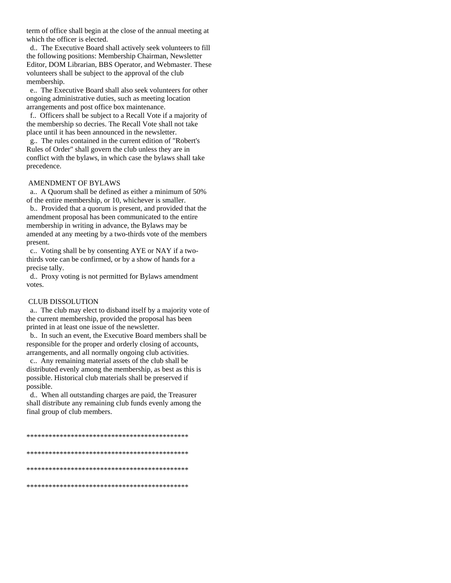term of office shall begin at the close of the annual meeting at which the officer is elected.

 d.. The Executive Board shall actively seek volunteers to fill the following positions: Membership Chairman, Newsletter Editor, DOM Librarian, BBS Operator, and Webmaster. These volunteers shall be subject to the approval of the club membership.

 e.. The Executive Board shall also seek volunteers for other ongoing administrative duties, such as meeting location arrangements and post office box maintenance.

 f.. Officers shall be subject to a Recall Vote if a majority of the membership so decries. The Recall Vote shall not take place until it has been announced in the newsletter.

 g.. The rules contained in the current edition of "Robert's Rules of Order" shall govern the club unless they are in conflict with the bylaws, in which case the bylaws shall take precedence.

#### AMENDMENT OF BYLAWS

 a.. A Quorum shall be defined as either a minimum of 50% of the entire membership, or 10, whichever is smaller.

 b.. Provided that a quorum is present, and provided that the amendment proposal has been communicated to the entire membership in writing in advance, the Bylaws may be amended at any meeting by a two-thirds vote of the members present.

 c.. Voting shall be by consenting AYE or NAY if a twothirds vote can be confirmed, or by a show of hands for a precise tally.

 d.. Proxy voting is not permitted for Bylaws amendment votes.

#### CLUB DISSOLUTION

 a.. The club may elect to disband itself by a majority vote of the current membership, provided the proposal has been printed in at least one issue of the newsletter.

 b.. In such an event, the Executive Board members shall be responsible for the proper and orderly closing of accounts, arrangements, and all normally ongoing club activities.

 c.. Any remaining material assets of the club shall be distributed evenly among the membership, as best as this is possible. Historical club materials shall be preserved if possible.

 d.. When all outstanding charges are paid, the Treasurer shall distribute any remaining club funds evenly among the final group of club members.

\*\*\*\*\*\*\*\*\*\*\*\*\*\*\*\*\*\*\*\*\*\*\*\*\*\*\*\*\*\*\*\*\*\*\*\*\*\*\*\*\*\*\*\* \*\*\*\*\*\*\*\*\*\*\*\*\*\*\*\*\*\*\*\*\*\*\*\*\*\*\*\*\*\*\*\*\*\*\*\*\*\*\*\*\*\*\*\* \*\*\*\*\*\*\*\*\*\*\*\*\*\*\*\*\*\*\*\*\*\*\*\*\*\*\*\*\*\*\*\*\*\*\*\*\*\*\*\*\*\*\*\* \*\*\*\*\*\*\*\*\*\*\*\*\*\*\*\*\*\*\*\*\*\*\*\*\*\*\*\*\*\*\*\*\*\*\*\*\*\*\*\*\*\*\*\*